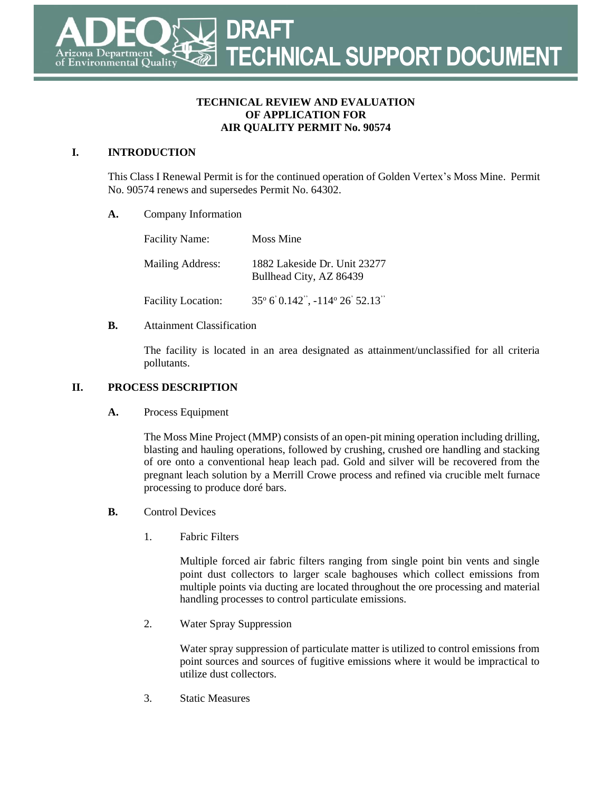#### **TECHNICAL REVIEW AND EVALUATION OF APPLICATION FOR AIR QUALITY PERMIT No. 90574**

### **I. INTRODUCTION**

This Class I Renewal Permit is for the continued operation of Golden Vertex's Moss Mine. Permit No. 90574 renews and supersedes Permit No. 64302.

#### **A.** Company Information

| <b>Facility Name:</b>     | Moss Mine                                               |
|---------------------------|---------------------------------------------------------|
| Mailing Address:          | 1882 Lakeside Dr. Unit 23277<br>Bullhead City, AZ 86439 |
| <b>Facility Location:</b> | 35° 6' 0.142", -114° 26' 52.13"                         |

#### **B.** Attainment Classification

The facility is located in an area designated as attainment/unclassified for all criteria pollutants.

#### **II. PROCESS DESCRIPTION**

#### **A.** Process Equipment

The Moss Mine Project (MMP) consists of an open-pit mining operation including drilling, blasting and hauling operations, followed by crushing, crushed ore handling and stacking of ore onto a conventional heap leach pad. Gold and silver will be recovered from the pregnant leach solution by a Merrill Crowe process and refined via crucible melt furnace processing to produce doré bars.

#### **B.** Control Devices

1. Fabric Filters

Multiple forced air fabric filters ranging from single point bin vents and single point dust collectors to larger scale baghouses which collect emissions from multiple points via ducting are located throughout the ore processing and material handling processes to control particulate emissions.

2. Water Spray Suppression

Water spray suppression of particulate matter is utilized to control emissions from point sources and sources of fugitive emissions where it would be impractical to utilize dust collectors.

3. Static Measures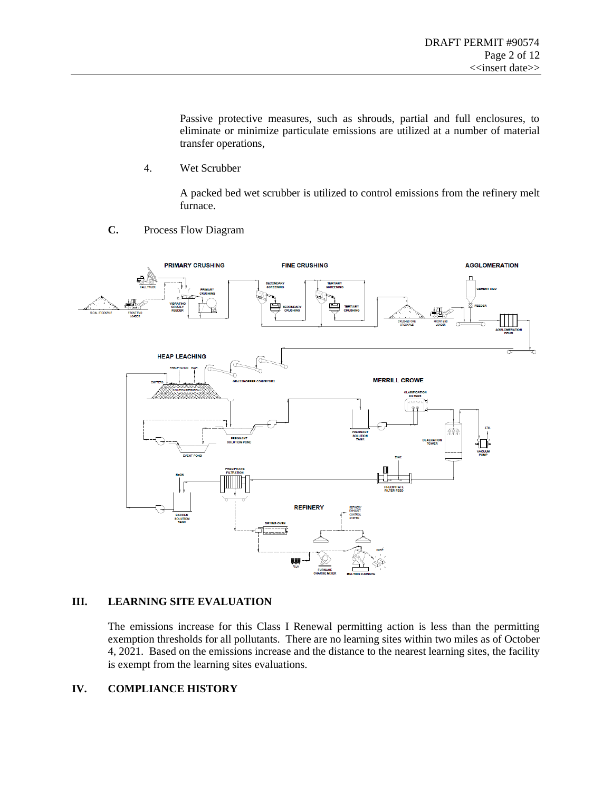Passive protective measures, such as shrouds, partial and full enclosures, to eliminate or minimize particulate emissions are utilized at a number of material transfer operations,

4. Wet Scrubber

A packed bed wet scrubber is utilized to control emissions from the refinery melt furnace.

**C.** Process Flow Diagram



#### **III. LEARNING SITE EVALUATION**

The emissions increase for this Class I Renewal permitting action is less than the permitting exemption thresholds for all pollutants. There are no learning sites within two miles as of October 4, 2021. Based on the emissions increase and the distance to the nearest learning sites, the facility is exempt from the learning sites evaluations.

#### **IV. COMPLIANCE HISTORY**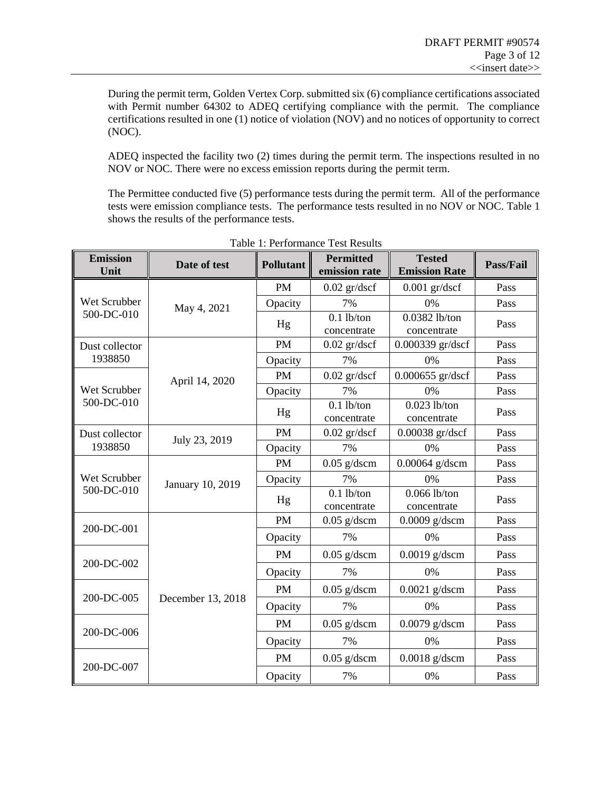During the permit term, Golden Vertex Corp. submitted six (6) compliance certifications associated with Permit number 64302 to ADEQ certifying compliance with the permit. The compliance certifications resulted in one (1) notice of violation (NOV) and no notices of opportunity to correct (NOC).

ADEQ inspected the facility two (2) times during the permit term. The inspections resulted in no NOV or NOC. There were no excess emission reports during the permit term.

The Permittee conducted five (5) performance tests during the permit term. All of the performance tests were emission compliance tests. The performance tests resulted in no NOV or NOC. [Table](#page-2-0) 1 shows the results of the performance tests.

<span id="page-2-0"></span>

| <b>Emission</b><br>Unit    | Date of test      | <b>Pollutant</b> | <b>Permitted</b><br>emission rate | <b>Tested</b><br><b>Emission Rate</b> | Pass/Fail |
|----------------------------|-------------------|------------------|-----------------------------------|---------------------------------------|-----------|
|                            |                   | <b>PM</b>        | $0.02$ gr/dscf                    | $0.001$ gr/dscf                       | Pass      |
| Wet Scrubber               | May 4, 2021       | Opacity          | 7%                                | 0%                                    | Pass      |
| 500-DC-010                 |                   | Hg               | $0.1$ lb/ton                      | 0.0382 lb/ton                         | Pass      |
|                            |                   |                  | concentrate                       | concentrate                           |           |
| Dust collector             |                   | <b>PM</b>        | $0.02$ gr/dscf                    | 0.000339 gr/dscf                      | Pass      |
| 1938850                    |                   | Opacity          | 7%                                | 0%                                    | Pass      |
|                            | April 14, 2020    | <b>PM</b>        | $0.02$ gr/dscf                    | 0.000655 gr/dscf                      | Pass      |
| Wet Scrubber               |                   | Opacity          | 7%                                | 0%                                    | Pass      |
| 500-DC-010                 |                   | Hg               | $0.1$ lb/ton<br>concentrate       | $0.023$ lb/ton<br>concentrate         | Pass      |
| Dust collector             |                   | <b>PM</b>        | $0.02$ gr/dscf                    | 0.00038 gr/dscf                       | Pass      |
| 1938850                    | July 23, 2019     | Opacity          | 7%                                | 0%                                    | Pass      |
|                            | January 10, 2019  | <b>PM</b>        | $0.05$ g/dscm                     | $0.00064$ g/dscm                      | Pass      |
| Wet Scrubber<br>500-DC-010 |                   | Opacity          | 7%                                | 0%                                    | Pass      |
|                            |                   | Hg               | $\overline{0.1}$ lb/ton           | $0.066$ lb/ton                        | Pass      |
|                            |                   |                  | concentrate                       | concentrate                           |           |
| 200-DC-001                 |                   | <b>PM</b>        | $0.05$ g/dscm                     | $0.0009$ g/dscm                       | Pass      |
|                            |                   | Opacity          | 7%                                | 0%                                    | Pass      |
| 200-DC-002                 |                   | <b>PM</b>        | $0.05$ g/dscm                     | $0.0019$ g/dscm                       | Pass      |
|                            |                   | Opacity          | 7%                                | 0%                                    | Pass      |
|                            |                   | <b>PM</b>        | $0.05$ g/dscm                     | $0.0021$ g/dscm                       | Pass      |
| 200-DC-005                 | December 13, 2018 | Opacity          | 7%                                | 0%                                    | Pass      |
| 200-DC-006                 |                   | <b>PM</b>        | $0.05$ g/dscm                     | $0.0079$ g/dscm                       | Pass      |
|                            |                   | Opacity          | 7%                                | 0%                                    | Pass      |
| 200-DC-007                 |                   | <b>PM</b>        | $0.05$ g/dscm                     | $0.0018$ g/dscm                       | Pass      |
|                            |                   | Opacity          | 7%                                | 0%                                    | Pass      |

Table 1: Performance Test Results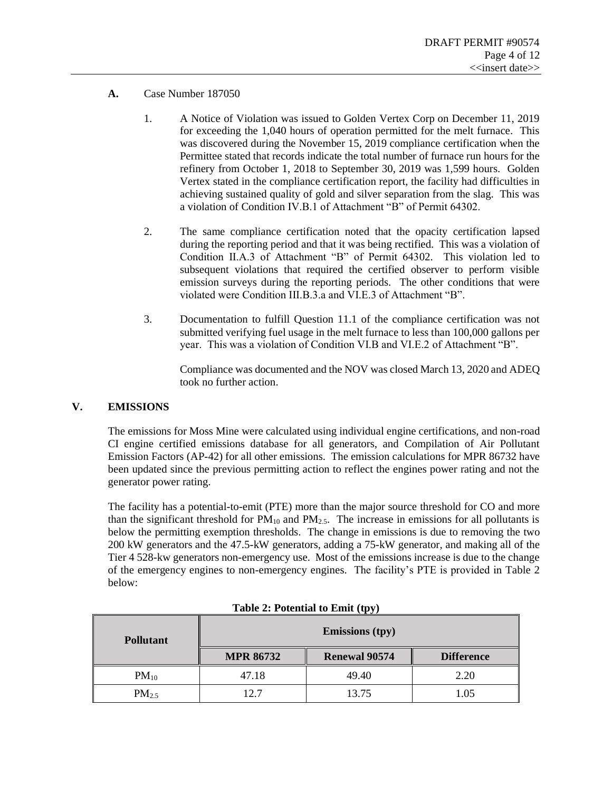- **A.** Case Number 187050
	- 1. A Notice of Violation was issued to Golden Vertex Corp on December 11, 2019 for exceeding the 1,040 hours of operation permitted for the melt furnace. This was discovered during the November 15, 2019 compliance certification when the Permittee stated that records indicate the total number of furnace run hours for the refinery from October 1, 2018 to September 30, 2019 was 1,599 hours. Golden Vertex stated in the compliance certification report, the facility had difficulties in achieving sustained quality of gold and silver separation from the slag. This was a violation of Condition IV.B.1 of Attachment "B" of Permit 64302.
	- 2. The same compliance certification noted that the opacity certification lapsed during the reporting period and that it was being rectified. This was a violation of Condition II.A.3 of Attachment "B" of Permit 64302. This violation led to subsequent violations that required the certified observer to perform visible emission surveys during the reporting periods. The other conditions that were violated were Condition III.B.3.a and VI.E.3 of Attachment "B".
	- 3. Documentation to fulfill Question 11.1 of the compliance certification was not submitted verifying fuel usage in the melt furnace to less than 100,000 gallons per year. This was a violation of Condition VI.B and VI.E.2 of Attachment "B".

Compliance was documented and the NOV was closed March 13, 2020 and ADEQ took no further action.

#### **V. EMISSIONS**

The emissions for Moss Mine were calculated using individual engine certifications, and non-road CI engine certified emissions database for all generators, and Compilation of Air Pollutant Emission Factors (AP-42) for all other emissions. The emission calculations for MPR 86732 have been updated since the previous permitting action to reflect the engines power rating and not the generator power rating.

The facility has a potential-to-emit (PTE) more than the major source threshold for CO and more than the significant threshold for  $PM_{10}$  and  $PM_{2.5}$ . The increase in emissions for all pollutants is below the permitting exemption thresholds. The change in emissions is due to removing the two 200 kW generators and the 47.5-kW generators, adding a 75-kW generator, and making all of the Tier 4 528-kw generators non-emergency use. Most of the emissions increase is due to the change of the emergency engines to non-emergency engines. The facility's PTE is provided in [Table 2](#page-3-0) below:

<span id="page-3-0"></span>

| <b>Pollutant</b> |                  | <b>Emissions (tpy)</b> |                   |
|------------------|------------------|------------------------|-------------------|
|                  | <b>MPR 86732</b> | <b>Renewal 90574</b>   | <b>Difference</b> |
| $PM_{10}$        | 47.18            | 49.40                  | 2.20              |
| $PM_{2.5}$       | 12.7             | 13.75                  | 1.05              |

| Table 2: Potential to Emit (tpy) |  |
|----------------------------------|--|
|                                  |  |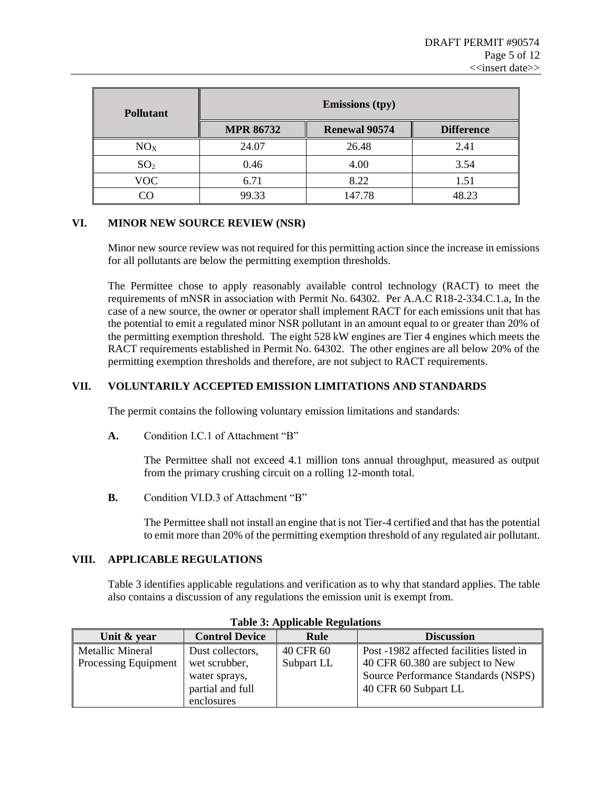| <b>Pollutant</b> |                  | <b>Emissions</b> (tpy) |                   |
|------------------|------------------|------------------------|-------------------|
|                  | <b>MPR 86732</b> | <b>Renewal 90574</b>   | <b>Difference</b> |
| NO <sub>X</sub>  | 24.07            | 26.48                  | 2.41              |
| SO <sub>2</sub>  | 0.46             | 4.00                   | 3.54              |
| VOC              | 6.71             | 8.22                   | 1.51              |
|                  | 99.33            | 147.78                 | 48.23             |

#### **VI. MINOR NEW SOURCE REVIEW (NSR)**

Minor new source review was not required for this permitting action since the increase in emissions for all pollutants are below the permitting exemption thresholds.

The Permittee chose to apply reasonably available control technology (RACT) to meet the requirements of mNSR in association with Permit No. 64302. Per A.A.C R18-2-334.C.1.a, In the case of a new source, the owner or operator shall implement RACT for each emissions unit that has the potential to emit a regulated minor NSR pollutant in an amount equal to or greater than 20% of the permitting exemption threshold. The eight 528 kW engines are Tier 4 engines which meets the RACT requirements established in Permit No. 64302. The other engines are all below 20% of the permitting exemption thresholds and therefore, are not subject to RACT requirements.

#### **VII. VOLUNTARILY ACCEPTED EMISSION LIMITATIONS AND STANDARDS**

The permit contains the following voluntary emission limitations and standards:

**A.** Condition I.C.1 of Attachment "B"

The Permittee shall not exceed 4.1 million tons annual throughput, measured as output from the primary crushing circuit on a rolling 12-month total.

**B.** Condition VI.D.3 of Attachment "B"

The Permittee shall not install an engine that is not Tier-4 certified and that has the potential to emit more than 20% of the permitting exemption threshold of any regulated air pollutant.

#### **VIII. APPLICABLE REGULATIONS**

[Table 3](#page-4-0) identifies applicable regulations and verification as to why that standard applies. The table also contains a discussion of any regulations the emission unit is exempt from.

<span id="page-4-0"></span>

| Tuote et Tippheuote Itegunuono |                       |             |                                          |  |
|--------------------------------|-----------------------|-------------|------------------------------------------|--|
| Unit & year                    | <b>Control Device</b> | <b>Rule</b> | <b>Discussion</b>                        |  |
| Metallic Mineral               | Dust collectors,      | 40 CFR 60   | Post -1982 affected facilities listed in |  |
| Processing Equipment           | wet scrubber,         | Subpart LL  | 40 CFR 60.380 are subject to New         |  |
|                                | water sprays,         |             | Source Performance Standards (NSPS)      |  |
|                                | partial and full      |             | 40 CFR 60 Subpart LL                     |  |
|                                | enclosures            |             |                                          |  |

**Table 3: Applicable Regulations**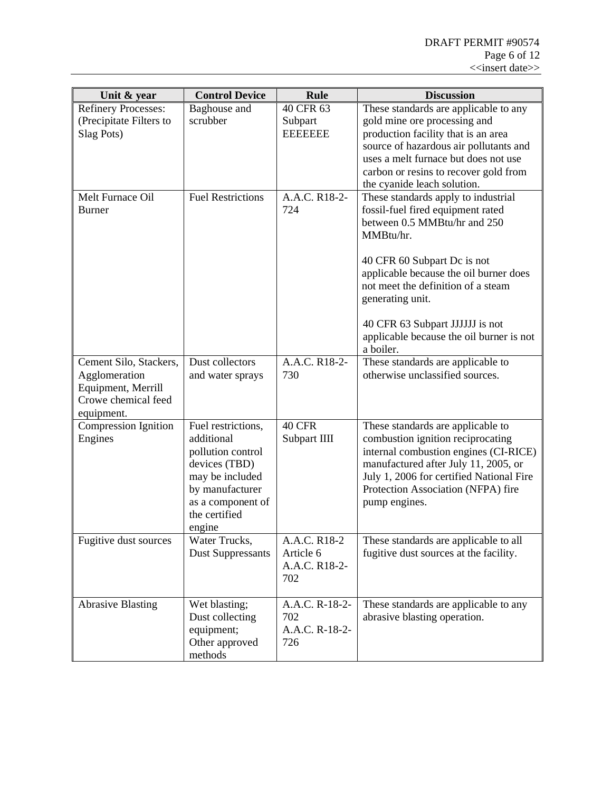| Unit & year                                                                                        | <b>Control Device</b>                                                                                                                                        | Rule                                              | <b>Discussion</b>                                                                                                                                                                                                                                                                                                                                    |
|----------------------------------------------------------------------------------------------------|--------------------------------------------------------------------------------------------------------------------------------------------------------------|---------------------------------------------------|------------------------------------------------------------------------------------------------------------------------------------------------------------------------------------------------------------------------------------------------------------------------------------------------------------------------------------------------------|
| <b>Refinery Processes:</b><br>(Precipitate Filters to<br>Slag Pots)                                | Baghouse and<br>scrubber                                                                                                                                     | 40 CFR 63<br>Subpart<br><b>EEEEEEE</b>            | These standards are applicable to any<br>gold mine ore processing and<br>production facility that is an area<br>source of hazardous air pollutants and<br>uses a melt furnace but does not use<br>carbon or resins to recover gold from<br>the cyanide leach solution.                                                                               |
| Melt Furnace Oil<br><b>Burner</b>                                                                  | <b>Fuel Restrictions</b>                                                                                                                                     | A.A.C. R18-2-<br>724                              | These standards apply to industrial<br>fossil-fuel fired equipment rated<br>between 0.5 MMBtu/hr and 250<br>MMBtu/hr.<br>40 CFR 60 Subpart Dc is not<br>applicable because the oil burner does<br>not meet the definition of a steam<br>generating unit.<br>40 CFR 63 Subpart JJJJJJ is not<br>applicable because the oil burner is not<br>a boiler. |
| Cement Silo, Stackers,<br>Agglomeration<br>Equipment, Merrill<br>Crowe chemical feed<br>equipment. | Dust collectors<br>and water sprays                                                                                                                          | A.A.C. R18-2-<br>730                              | These standards are applicable to<br>otherwise unclassified sources.                                                                                                                                                                                                                                                                                 |
| <b>Compression Ignition</b><br>Engines                                                             | Fuel restrictions,<br>additional<br>pollution control<br>devices (TBD)<br>may be included<br>by manufacturer<br>as a component of<br>the certified<br>engine | 40 CFR<br>Subpart IIII                            | These standards are applicable to<br>combustion ignition reciprocating<br>internal combustion engines (CI-RICE)<br>manufactured after July 11, 2005, or<br>July 1, 2006 for certified National Fire<br>Protection Association (NFPA) fire<br>pump engines.                                                                                           |
| Fugitive dust sources                                                                              | Water Trucks,<br><b>Dust Suppressants</b>                                                                                                                    | A.A.C. R18-2<br>Article 6<br>A.A.C. R18-2-<br>702 | These standards are applicable to all<br>fugitive dust sources at the facility.                                                                                                                                                                                                                                                                      |
| <b>Abrasive Blasting</b>                                                                           | Wet blasting;<br>Dust collecting<br>equipment;<br>Other approved<br>methods                                                                                  | A.A.C. R-18-2-<br>702<br>A.A.C. R-18-2-<br>726    | These standards are applicable to any<br>abrasive blasting operation.                                                                                                                                                                                                                                                                                |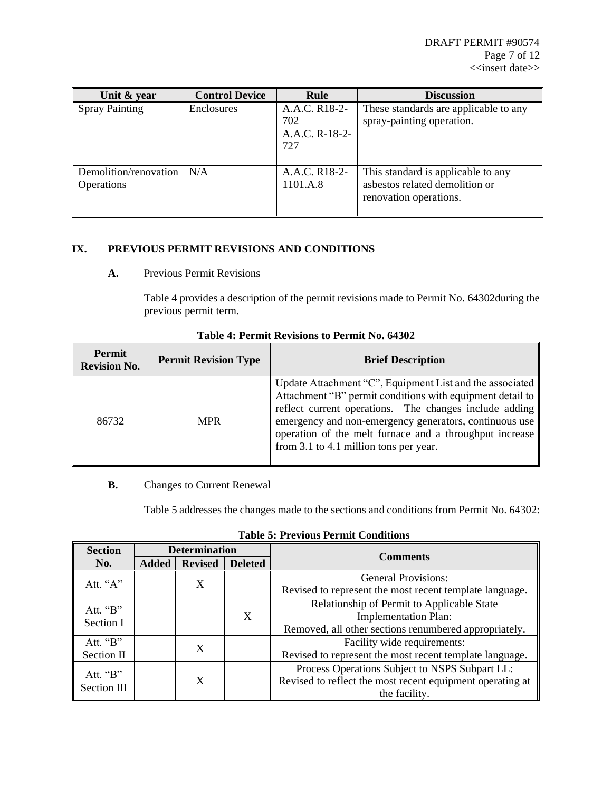| Unit & year                         | <b>Control Device</b> | Rule                                          | <b>Discussion</b>                                                                              |
|-------------------------------------|-----------------------|-----------------------------------------------|------------------------------------------------------------------------------------------------|
| <b>Spray Painting</b>               | Enclosures            | A.A.C. R18-2-<br>702<br>A.A.C. R-18-2-<br>727 | These standards are applicable to any<br>spray-painting operation.                             |
| Demolition/renovation<br>Operations | N/A                   | A.A.C. R <sub>18</sub> -2-<br>1101.A.8        | This standard is applicable to any<br>asbestos related demolition or<br>renovation operations. |

### **IX. PREVIOUS PERMIT REVISIONS AND CONDITIONS**

#### **A.** Previous Permit Revisions

[Table 4](#page-6-0) provides a description of the permit revisions made to Permit No. 64302during the previous permit term.

<span id="page-6-0"></span>

| Permit<br><b>Revision No.</b> | <b>Permit Revision Type</b> | <b>Brief Description</b>                                                                                                                                                                                                                                                                                                                       |
|-------------------------------|-----------------------------|------------------------------------------------------------------------------------------------------------------------------------------------------------------------------------------------------------------------------------------------------------------------------------------------------------------------------------------------|
| 86732                         | <b>MPR</b>                  | Update Attachment "C", Equipment List and the associated<br>Attachment "B" permit conditions with equipment detail to<br>reflect current operations. The changes include adding<br>emergency and non-emergency generators, continuous use<br>operation of the melt furnace and a throughput increase<br>from 3.1 to 4.1 million tons per year. |

#### **Table 4: Permit Revisions to Permit No. 64302**

# **B.** Changes to Current Renewal

[Table 5](#page-6-1) addresses the changes made to the sections and conditions from Permit No. 64302:

<span id="page-6-1"></span>

| <b>Section</b>      |              | <b>Determination</b> |                | <b>Comments</b>                                           |
|---------------------|--------------|----------------------|----------------|-----------------------------------------------------------|
| No.                 | <b>Added</b> | <b>Revised</b>       | <b>Deleted</b> |                                                           |
| Att. " $A$ "        |              | X                    |                | <b>General Provisions:</b>                                |
|                     |              |                      |                | Revised to represent the most recent template language.   |
| Att. $\mathbf{B}$ " |              |                      |                | Relationship of Permit to Applicable State                |
| <b>Section I</b>    |              |                      | X              | <b>Implementation Plan:</b>                               |
|                     |              |                      |                | Removed, all other sections renumbered appropriately.     |
| Att. $\mathbf{B}$ . |              | X                    |                | Facility wide requirements:                               |
| Section II          |              |                      |                | Revised to represent the most recent template language.   |
| Att. $\mathbf{B}$ . |              |                      |                | Process Operations Subject to NSPS Subpart LL:            |
|                     |              | X                    |                | Revised to reflect the most recent equipment operating at |
| Section III         |              |                      |                | the facility.                                             |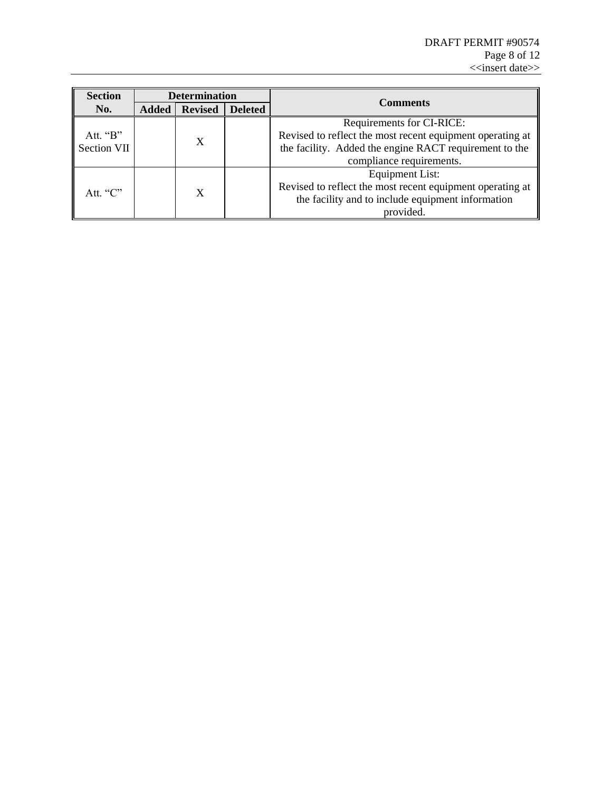| <b>Section</b>      |              | <b>Determination</b>                              |                | <b>Comments</b>                                           |  |
|---------------------|--------------|---------------------------------------------------|----------------|-----------------------------------------------------------|--|
| No.                 | <b>Added</b> | <b>Revised</b>                                    | <b>Deleted</b> |                                                           |  |
|                     |              |                                                   |                | Requirements for CI-RICE:                                 |  |
| Att. $\mathbf{B}$ " |              | X                                                 |                | Revised to reflect the most recent equipment operating at |  |
| Section VII         |              |                                                   |                | the facility. Added the engine RACT requirement to the    |  |
|                     |              |                                                   |                | compliance requirements.                                  |  |
|                     |              |                                                   |                | <b>Equipment List:</b>                                    |  |
| Att. " $C$ "        |              | X                                                 |                | Revised to reflect the most recent equipment operating at |  |
|                     |              | the facility and to include equipment information |                |                                                           |  |
|                     |              |                                                   |                | provided.                                                 |  |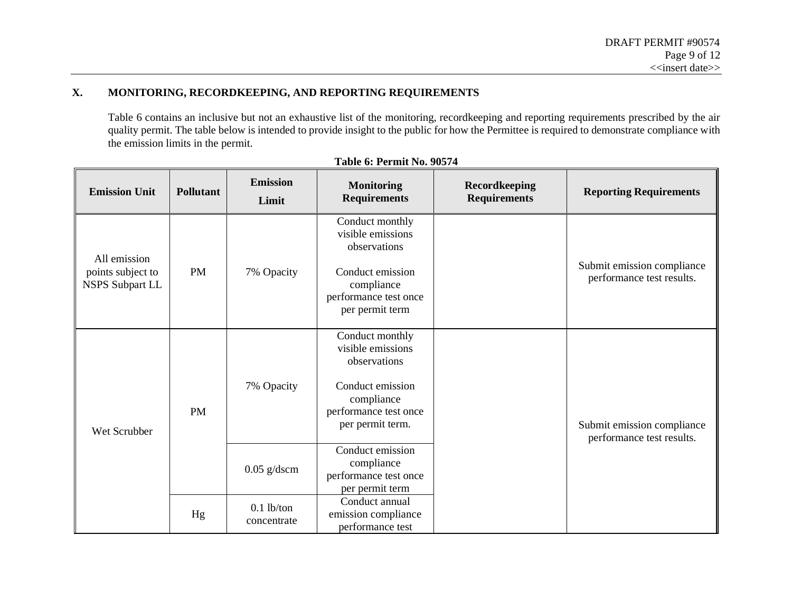$\equiv$ 

# **X. MONITORING, RECORDKEEPING, AND REPORTING REQUIREMENTS**

[Table 6](#page-8-0) contains an inclusive but not an exhaustive list of the monitoring, recordkeeping and reporting requirements prescribed by the air quality permit. The table below is intended to provide insight to the public for how the Permittee is required to demonstrate compliance with the emission limits in the permit.

<span id="page-8-0"></span>

| <b>Emission Unit</b>                                        | Pollutant | <b>Emission</b><br>Limit    | <b>Monitoring</b><br><b>Requirements</b>                                                                                            | Recordkeeping<br><b>Requirements</b> | <b>Reporting Requirements</b>                           |
|-------------------------------------------------------------|-----------|-----------------------------|-------------------------------------------------------------------------------------------------------------------------------------|--------------------------------------|---------------------------------------------------------|
| All emission<br>points subject to<br><b>NSPS Subpart LL</b> | <b>PM</b> | 7% Opacity                  | Conduct monthly<br>visible emissions<br>observations                                                                                |                                      | Submit emission compliance<br>performance test results. |
|                                                             |           |                             | Conduct emission<br>compliance<br>performance test once<br>per permit term                                                          |                                      |                                                         |
| Wet Scrubber                                                | <b>PM</b> | 7% Opacity                  | Conduct monthly<br>visible emissions<br>observations<br>Conduct emission<br>compliance<br>performance test once<br>per permit term. |                                      | Submit emission compliance<br>performance test results. |
|                                                             |           | $0.05$ g/dscm               | Conduct emission<br>compliance<br>performance test once<br>per permit term                                                          |                                      |                                                         |
|                                                             | Hg        | $0.1$ lb/ton<br>concentrate | Conduct annual<br>emission compliance<br>performance test                                                                           |                                      |                                                         |

# **Table 6: Permit No. 90574**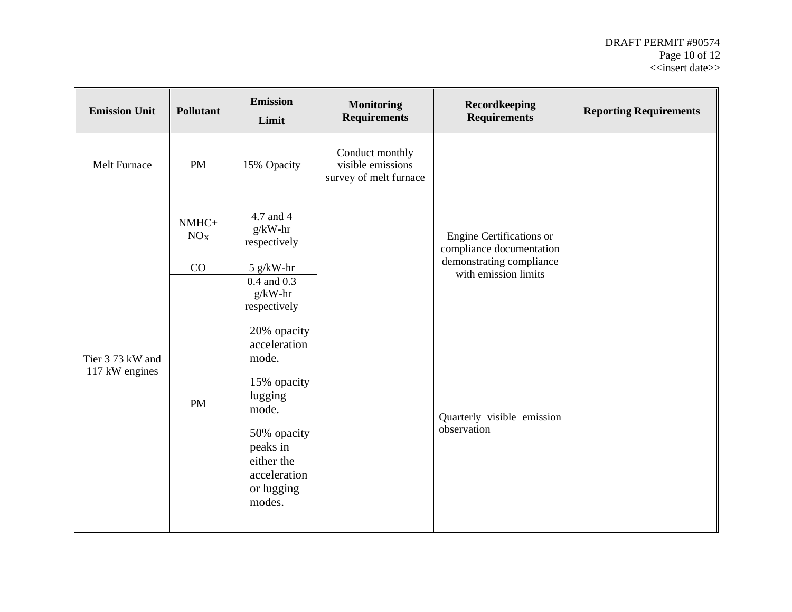| <b>Emission Unit</b>               | <b>Pollutant</b>         | <b>Emission</b><br>Limit                                                                                                                                                                                 | <b>Monitoring</b><br><b>Requirements</b>                       | Recordkeeping<br><b>Requirements</b>                              | <b>Reporting Requirements</b> |
|------------------------------------|--------------------------|----------------------------------------------------------------------------------------------------------------------------------------------------------------------------------------------------------|----------------------------------------------------------------|-------------------------------------------------------------------|-------------------------------|
| Melt Furnace                       | <b>PM</b>                | 15% Opacity                                                                                                                                                                                              | Conduct monthly<br>visible emissions<br>survey of melt furnace |                                                                   |                               |
|                                    | NMHC+<br>NO <sub>X</sub> | 4.7 and 4<br>$g/kW-hr$<br>respectively                                                                                                                                                                   |                                                                | Engine Certifications or<br>compliance documentation              |                               |
|                                    | CO                       | $5 g/kW-hr$                                                                                                                                                                                              |                                                                | demonstrating compliance                                          |                               |
| Tier 3 73 kW and<br>117 kW engines | PM                       | $0.4$ and $0.3$<br>$g/kW-hr$<br>respectively<br>20% opacity<br>acceleration<br>mode.<br>15% opacity<br>lugging<br>mode.<br>50% opacity<br>peaks in<br>either the<br>acceleration<br>or lugging<br>modes. |                                                                | with emission limits<br>Quarterly visible emission<br>observation |                               |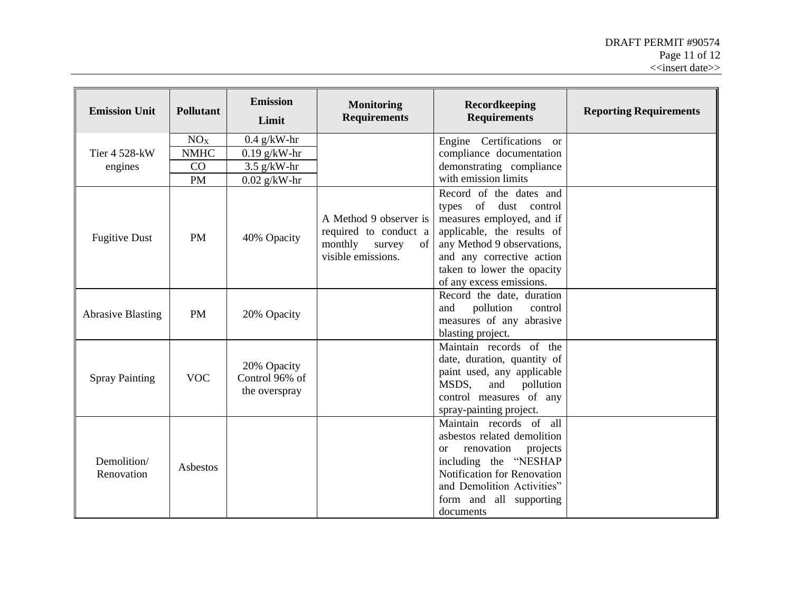| <b>Emission Unit</b>      | <b>Pollutant</b> | <b>Emission</b><br>Limit                       | <b>Monitoring</b><br><b>Requirements</b>                                                         | <b>Recordkeeping</b><br><b>Requirements</b>                                                                                                                                                                                      | <b>Reporting Requirements</b> |
|---------------------------|------------------|------------------------------------------------|--------------------------------------------------------------------------------------------------|----------------------------------------------------------------------------------------------------------------------------------------------------------------------------------------------------------------------------------|-------------------------------|
| Tier 4 528-kW<br>engines  | NO <sub>X</sub>  | $0.4$ g/kW-hr                                  |                                                                                                  | Engine Certifications or                                                                                                                                                                                                         |                               |
|                           | <b>NMHC</b>      | $0.19$ g/kW-hr                                 |                                                                                                  | compliance documentation                                                                                                                                                                                                         |                               |
|                           | CO               | $3.5$ g/kW-hr                                  |                                                                                                  | demonstrating compliance                                                                                                                                                                                                         |                               |
|                           | <b>PM</b>        | $0.02$ g/kW-hr                                 |                                                                                                  | with emission limits                                                                                                                                                                                                             |                               |
| <b>Fugitive Dust</b>      | <b>PM</b>        | 40% Opacity                                    | A Method 9 observer is<br>required to conduct a<br>monthly<br>survey<br>of<br>visible emissions. | Record of the dates and<br>types of dust control<br>measures employed, and if<br>applicable, the results of<br>any Method 9 observations,<br>and any corrective action<br>taken to lower the opacity<br>of any excess emissions. |                               |
| <b>Abrasive Blasting</b>  | <b>PM</b>        | 20% Opacity                                    |                                                                                                  | Record the date, duration<br>pollution<br>and<br>control<br>measures of any abrasive<br>blasting project.                                                                                                                        |                               |
| <b>Spray Painting</b>     | <b>VOC</b>       | 20% Opacity<br>Control 96% of<br>the overspray |                                                                                                  | Maintain records of the<br>date, duration, quantity of<br>paint used, any applicable<br>MSDS,<br>and<br>pollution<br>control measures of any<br>spray-painting project.                                                          |                               |
| Demolition/<br>Renovation | Asbestos         |                                                |                                                                                                  | Maintain records of all<br>asbestos related demolition<br>renovation<br>projects<br><sub>or</sub><br>including the "NESHAP<br>Notification for Renovation<br>and Demolition Activities"<br>form and all supporting<br>documents  |                               |